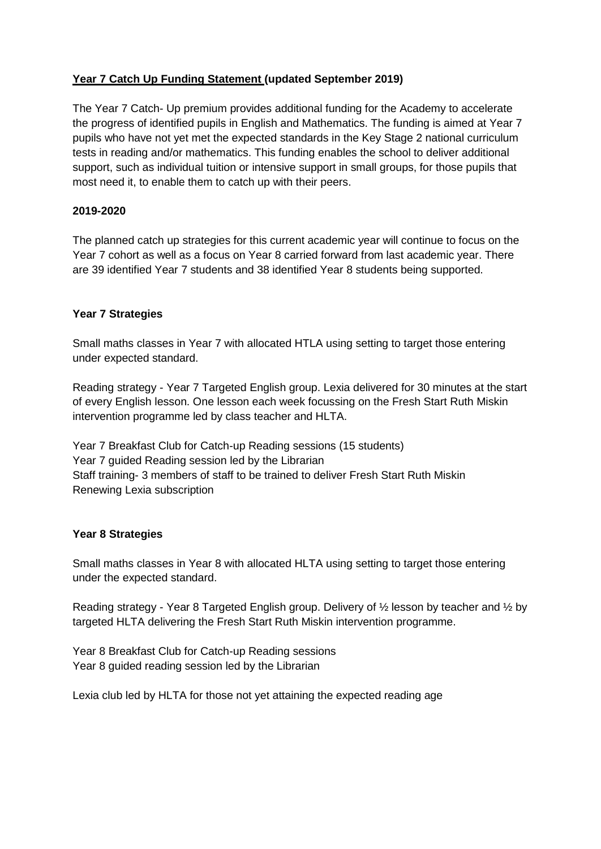# **Year 7 Catch Up Funding Statement (updated September 2019)**

The Year 7 Catch- Up premium provides additional funding for the Academy to accelerate the progress of identified pupils in English and Mathematics. The funding is aimed at Year 7 pupils who have not yet met the expected standards in the Key Stage 2 national curriculum tests in reading and/or mathematics. This funding enables the school to deliver additional support, such as individual tuition or intensive support in small groups, for those pupils that most need it, to enable them to catch up with their peers.

## **2019-2020**

The planned catch up strategies for this current academic year will continue to focus on the Year 7 cohort as well as a focus on Year 8 carried forward from last academic year. There are 39 identified Year 7 students and 38 identified Year 8 students being supported.

### **Year 7 Strategies**

Small maths classes in Year 7 with allocated HTLA using setting to target those entering under expected standard.

Reading strategy - Year 7 Targeted English group. Lexia delivered for 30 minutes at the start of every English lesson. One lesson each week focussing on the Fresh Start Ruth Miskin intervention programme led by class teacher and HLTA.

Year 7 Breakfast Club for Catch-up Reading sessions (15 students) Year 7 guided Reading session led by the Librarian Staff training- 3 members of staff to be trained to deliver Fresh Start Ruth Miskin Renewing Lexia subscription

### **Year 8 Strategies**

Small maths classes in Year 8 with allocated HLTA using setting to target those entering under the expected standard.

Reading strategy - Year 8 Targeted English group. Delivery of  $\frac{1}{2}$  lesson by teacher and  $\frac{1}{2}$  by targeted HLTA delivering the Fresh Start Ruth Miskin intervention programme.

Year 8 Breakfast Club for Catch-up Reading sessions Year 8 guided reading session led by the Librarian

Lexia club led by HLTA for those not yet attaining the expected reading age